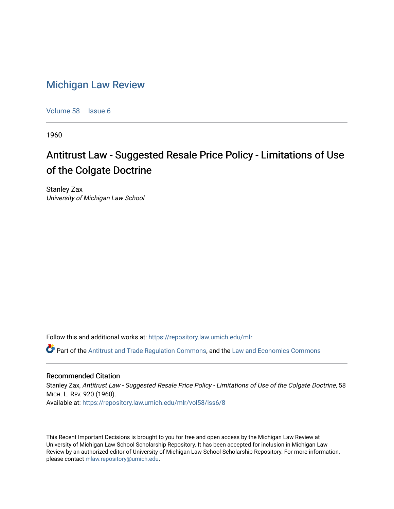## [Michigan Law Review](https://repository.law.umich.edu/mlr)

[Volume 58](https://repository.law.umich.edu/mlr/vol58) | [Issue 6](https://repository.law.umich.edu/mlr/vol58/iss6)

1960

## Antitrust Law - Suggested Resale Price Policy - Limitations of Use of the Colgate Doctrine

Stanley Zax University of Michigan Law School

Follow this and additional works at: [https://repository.law.umich.edu/mlr](https://repository.law.umich.edu/mlr?utm_source=repository.law.umich.edu%2Fmlr%2Fvol58%2Fiss6%2F8&utm_medium=PDF&utm_campaign=PDFCoverPages) 

Part of the [Antitrust and Trade Regulation Commons,](http://network.bepress.com/hgg/discipline/911?utm_source=repository.law.umich.edu%2Fmlr%2Fvol58%2Fiss6%2F8&utm_medium=PDF&utm_campaign=PDFCoverPages) and the [Law and Economics Commons](http://network.bepress.com/hgg/discipline/612?utm_source=repository.law.umich.edu%2Fmlr%2Fvol58%2Fiss6%2F8&utm_medium=PDF&utm_campaign=PDFCoverPages) 

## Recommended Citation

Stanley Zax, Antitrust Law - Suggested Resale Price Policy - Limitations of Use of the Colgate Doctrine, 58 MICH. L. REV. 920 (1960). Available at: [https://repository.law.umich.edu/mlr/vol58/iss6/8](https://repository.law.umich.edu/mlr/vol58/iss6/8?utm_source=repository.law.umich.edu%2Fmlr%2Fvol58%2Fiss6%2F8&utm_medium=PDF&utm_campaign=PDFCoverPages)

This Recent Important Decisions is brought to you for free and open access by the Michigan Law Review at University of Michigan Law School Scholarship Repository. It has been accepted for inclusion in Michigan Law Review by an authorized editor of University of Michigan Law School Scholarship Repository. For more information, please contact [mlaw.repository@umich.edu.](mailto:mlaw.repository@umich.edu)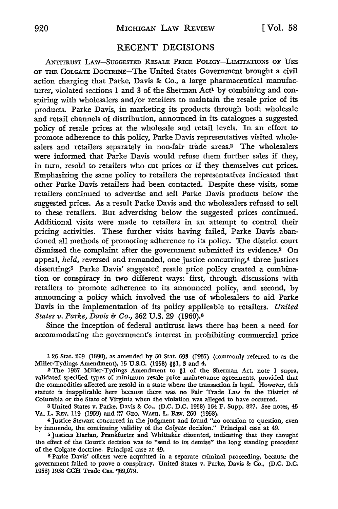## RECENT DECISIONS

ANTITRUST LAW-SUGGESTED RESALE PRICE POLICY-LIMITATIONS OF USE OF THE COLGATE DOCTRINE-The United States Government brought a civil action charging that Parke, Davis & Co., a large pharmaceutical manufacturer, violated sections 1 and 3 of the Sherman Act<sup>1</sup> by combining and conspiring with wholesalers and/or retailers to maintain the resale price of its products. Parke Davis, in marketing its products through both wholesale and retail channels of distribution, announced in its catalogues a suggested policy of resale prices at the wholesale and retail levels. In an effort to promote adherence to this policy, Parke Davis representatives visited wholesalers and retailers separately in non-fair trade areas.2 The wholesalers were informed that Parke Davis would refuse them further sales if they, in turn, resold to retailers who cut prices or if they themselves cut prices. Emphasizing the same policy to retailers the representatives indicated that other Parke Davis retailers had been contacted. Despite these visits, some retailers continued to advertise and sell Parke Davis products below the suggested prices. As a result Parke Davis and the wholesalers refused to sell to these retailers. But advertising below the suggested prices continued. Additional visits were made to retailers in an attempt to control their pricing activities. These further visits having failed, Parke Davis abandoned all methods of promoting adherence to its policy. The district court dismissed the complaint after the government submitted its evidence.3 **On**  appeal, *held*, reversed and remanded, one justice concurring,<sup>4</sup> three justices dissenting:5 Parke Davis' suggested resale price policy created a combination or conspiracy in two different ways: first, through discussions with retailers to promote adherence to its announced policy, and second, by announcing a policy which involved the use of wholesalers to aid Parke Davis in the implementation of its policy applicable to retailers. *United States v. Parke, Davis & Co.,* 362 U.S. 29 (1960).<sup>6</sup>

Since the inception of federal antitrust laws there has been a need for accommodating the government's interest in prohibiting commercial price

1 26 Stat. 209 (1890), as amended by 50 Stat. 693 (1937) (commonly referred to as the Miller-Tydings Amendment), 15 U.S.C. (1958) §§1, 3 and 4.

<sup>2</sup>The 1937 Miller-Tydings Amendment to §1 of the Sherman Act, note I supra, validated specified types of minimum resale price maintenance agreements, provided that the commodities affected are resold in a state where the transaction is legal. However, this statute is inapplicable here because there was no Fair Trade Law in the District of Columbia or the State of Virginia when the violation was alleged to have occurred.

<sup>3</sup>United States v. Parke, Davis & Co., (D.C. D.C. 1958) 164 F. Supp. 827. See notes, 45 VA. L. REV. 119 (1959) and 27 GEO. WASH. L. REV. 260 (1958).

<sup>4</sup>Justice Stewart concurred in the judgment and found "no occasion to question, even by innuendo, the continuing validity of the *Colgate* decision." Principal case at 49.

<sup>5</sup>Justices Harlan, Frankfurter and Whittaker dissented, indicating that they thought the effect of the Court's decision was to "send to its demise" the long standing precedent of the Colgate doctrine. Principal case at 49.

<sup>6</sup>Parke Davis' officers were acquitted in a separate criminal proceeding, because the government failed to prove a conspiracy. United States v. Parke, Davis & Co., (D.C. D.C. 1958) 1958 CCH Trade Cas.  $169,079$ .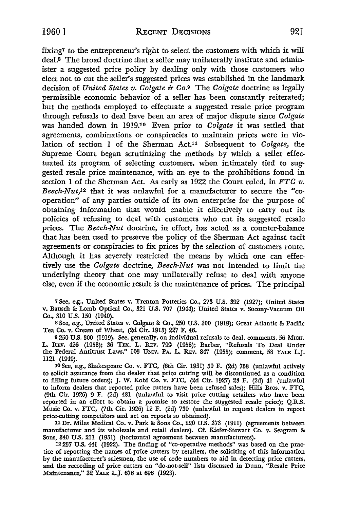fixing7 to the entrepreneur's right to select the customers with which it will deal.8 The broad doctrine that a seller may unilaterally institute and administer a suggested price policy by dealing only with those customers who elect not to cut the seller's suggested prices was established in the landmark decision of *United States v. Colgate &* Co.9 The *Colgate* doctrine as legally permissible economic behavior of a seller has been constantly reiterated; but the methods employed to effectuate a suggested resale price program through refusals to deal have been an area of major dispute since *Colgate*  was handed down in 1919.<sup>10</sup> Even prior to *Colgate* it was settled that agreements, combinations or conspiracies to maintain prices were in violation of section I of the Sherman Act.11 Subsequent to *Colgate,* the Supreme Court began scrutinizing the methods by which a seller effectuated its program of selecting customers, when intimately tied to suggested resale price maintenance, with an eye to the prohibitions found in section 1 of the Sherman Act. As early as  $1922$  the Court ruled, in FTC  $v$ . *Beech-Nut,1*2 that it was unlawful for a manufacturer to secure the "cooperation" of any parties outside of its own enterprise for the purpose of obtaining information that would enable it effectively to carry out its policies of refusing to deal with customers who cut its suggested resale prices. The *Beech-Nut* doctrine, in effect, has acted as a counter-balance that has been used to preserve the policy of the Sherman Act against tacit agreements or conspiracies to fix prices by the selection of customers route. Although it has severely restricted the means by which one can effectively use the *Colgate* doctrine, *Beech-Nut* was not intended to limit the underlying theory that one may unilaterally refuse to deal with anyone else, even if the economic result is the maintenance of prices. The principal

7 See, e.g., United States v. Trenton Potteries Co., 273 U.S. 392 (1927); United States v. Bausch & Lomb Optical Co., 321 U.S. 707 (1944); United States v. Socony-Vacuum Oil Co., 310 U.S. 150 (1940).

s See, e.g., United States v. Colgate &: Co., 250 U.S. 300 (1919); Great Atlantic & Pacific Tea Co. v. Cream of Wheat, (2d Cir. 1915) 227 F. 46.

<sup>9</sup>250 U.S. 300 (1919). See, generally, on individual refusals to deal, comments, 56 MICH. L. Rev. 426 (1958); 36 Tex. L. Rev. 799 (1958); Barber, "Refusals To Deal Under the Federal Antitrust Laws," 103 UNIV. PA. L. REv. 847 (1955); comment, 58 YALE L.J. 1121 (1949).

10 See, e.g., Shakespeare Co. v. FTC, (6th Cir. 1931) 50 F. (2d) 758 (unlawful actively to solicit assurance from the dealer that price cutting will be discontinued as a condition to filling future orders); J. W. Kobi Co. v. FTC, (2d Cir. 1927) 23 F. (2d) 41 (unlawful to inform dealers that reported price cutters have been refused sales); Hills Bros. v. FTC, (9th Cir. 1926) 9 F. (2d) 481 (unlawful to visit price cutting retailers who have been reported in an effort to obtain a promise to restore the suggested resale price); Q.R.S. Music Co. v. FTC, (7th Cir. 1926) 12 F. (2d) 730 (unlawful to request dealers to report price-cutting competitors and act on reports so obtained).

llDr. Miles Medical Co. v. Park & Sons Co., 220 U.S. 373 (1911) (agreements between manufacturer and its wholesale and retail dealers). Cf. Kiefer-Stewart Co. v. Seagram & Sons, 340 U.S. 211 (1951) (horizontal agreement between manufacturers).

12 257 U.S. 441 (1922). The finding of "co-operative methods" was based on the practice of reporting the names of price cutters by retailers, the soliciting of this information by the manufacturer's salesmen, the use of code numbers to aid in detecting price cutters, and the recording of price cutters on "do-not-sell" lists discussed in Dunn, "Resale Price Maintenance," 32 YALE L.J. 676 at 696 (1923).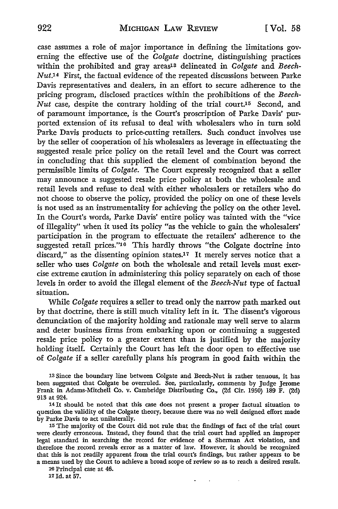case assumes a role of major importance in defining the limitations governing the effective use of the *Colgate* doctrine, distinguishing practices within the prohibited and gray areas<sup>13</sup> delineated in *Colgate* and *Beech*-*Nut.*<sup>14</sup> First, the factual evidence of the repeated discussions between Parke Davis representatives and dealers, in an effort to secure adherence to the pricing program, disclosed practices within the prohibitions of the *Beech-Nut* case, despite the contrary holding of the trial court.<sup>15</sup> Second, and of paramount importance, is the Court's proscription of Parke Davis' purported extension of its refusal to deal with wholesalers who in tum sold Parke Davis products to price-cutting retailers. Such conduct involves use by the seller of cooperation of his wholesalers as leverage in effectuating the suggested resale price policy on the retail level and the Court was correct in concluding that this supplied the element of combination beyond the permissible limits of *Colgate.* The Court expressly recognized that a seller may announce a suggested resale price policy at both the wholesale and retail levels and refuse to deal with either wholesalers or retailers who do not choose to observe the policy, provided the policy on one of these levels is not used as an instrumentality for achieving the policy on the other level. In the Court's words, Parke Davis' entire policy was tainted with the "vice of illegality" when it used its policy "as the vehicle to gain the wholesalers' participation in the program to effectuate the retailers' adherence to the suggested retail prices."<sup>16</sup> This hardly throws "the Colgate doctrine into discard," as the dissenting opinion states.17 It merely serves notice that a seller who uses *Colgate* on both the wholesale and retail levels must exercise extreme caution in administering this policy separately on each of those levels in order to avoid the illegal element of the *Beech-Nut* type of factual situation.

While *Colgate* requires a seller to tread only the narrow path marked out by that doctrine, there is still much vitality left in it. The dissent's vigorous denunciation of the majority holding and rationale may well serve to alarm and deter business firms from embarking upon or continuing a suggested resale price policy to a greater extent than is justified by the majority holding itself. Certainly the Court has left the door open to effective use of *Colgate* if a seller carefully plans his program in good faith within the

13 Since the boundary line between Colgate and Beech-Nut is rather tenuous, it has been suggested that Colgate be overruled. See, particularly, comments by Judge Jerome Frank in Adams-Mitchell Co. v. Cambridge Distributing Co., (2d Cir. 1950) 189 F. (2d) 913 at 924.

14 It should be noted that this case does not present a proper factual situation to question the validity of the Colgate theory, because there was no well designed effort made by Parke Davis to act unilaterally.

15 The majority of the Court did not rule that the findings of fact of the trial court were clearly erroneous. Instead, they found that the trial court had applied an improper legal standard in searching the record for evidence of a Sherman Act violation, and therefore the record reveals error as a matter of law. However, it should be recognized that this is not readily apparent from the trial court's findings, but rather appears to be a means used by the Court to achieve a broad scope of review so as to reach a desired result.

> $\ddot{\phantom{0}}$  $\sim 10$

16 Principal case at 46.

17 Id. at 57.